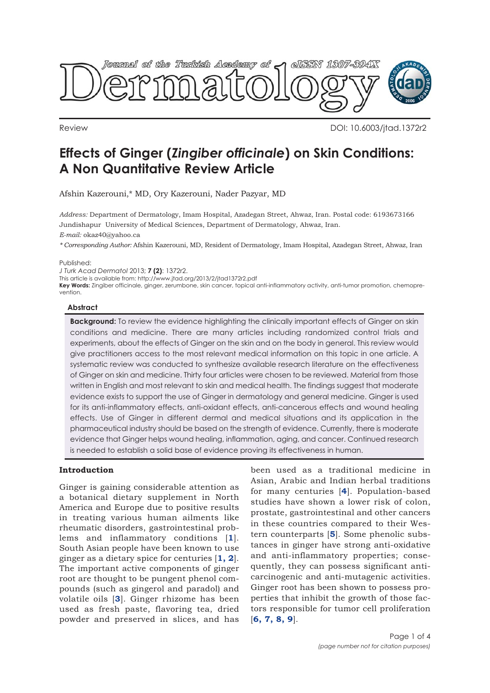

Review DOI: 10.6003/jtad.1372r2

# **Effects of Ginger (***Zingiber officinale***) on Skin Conditions: A Non Quantitative Review Article**

Afshin Kazerouni,\* MD, Ory Kazerouni, Nader Pazyar, MD

*Address:* Department of Dermatology, Imam Hospital, Azadegan Street, Ahwaz, Iran. Postal code: 6193673166 Jundishapur University of Medical Sciences, Department of Dermatology, Ahwaz, Iran.

*E-mail:* okaz40@yahoo.ca

*\* Corresponding Author:* Afshin Kazerouni, MD, Resident of Dermatology, Imam Hospital, Azadegan Street, Ahwaz, Iran

Published:

*J Turk Acad Dermatol* 2013; **7 (2)**: 1372r2.

This article is available from: http://www.jtad.org/2013/2/jtad1372r2.pdf

**Key Words:** Zingiber officinale, ginger, zerumbone, skin cancer, topical anti-inflammatory activity, anti-tumor promotion, chemoprevention.

#### **Abstract**

**Background:** To review the evidence highlighting the clinically important effects of Ginger on skin conditions and medicine. There are many articles including randomized control trials and experiments, about the effects of Ginger on the skin and on the body in general. This review would give practitioners access to the most relevant medical information on this topic in one article. A systematic review was conducted to synthesize available research literature on the effectiveness of Ginger on skin and medicine. Thirty four articles were chosen to be reviewed. Material from those written in English and most relevant to skin and medical health. The findings suggest that moderate evidence exists to support the use of Ginger in dermatology and general medicine. Ginger is used for its anti-inflammatory effects, anti-oxidant effects, anti-cancerous effects and wound healing effects. Use of Ginger in different dermal and medical situations and its application in the pharmaceutical industry should be based on the strength of evidence. Currently, there is moderate evidence that Ginger helps wound healing, inflammation, aging, and cancer. Continued research is needed to establish a solid base of evidence proving its effectiveness in human.

# **Introduction**

Ginger is gaining considerable attention as a botanical dietary supplement in North America and Europe due to positive results in treating various human ailments like rheumatic disorders, gastrointestinal problems and inflammatory conditions [**1**]. South Asian people have been known to use ginger as a dietary spice for centuries [**1, 2**]. The important active components of ginger root are thought to be pungent phenol compounds (such as gingerol and paradol) and volatile oils [**3**]. Ginger rhizome has been used as fresh paste, flavoring tea, dried powder and preserved in slices, and has

been used as a traditional medicine in Asian, Arabic and Indian herbal traditions for many centuries [**4**]. Population-based studies have shown a lower risk of colon, prostate, gastrointestinal and other cancers in these countries compared to their Western counterparts [**5**]. Some phenolic substances in ginger have strong anti-oxidative and anti-inflammatory properties; consequently, they can possess significant anticarcinogenic and anti-mutagenic activities. Ginger root has been shown to possess properties that inhibit the growth of those factors responsible for tumor cell proliferation [**6, 7, 8, 9**].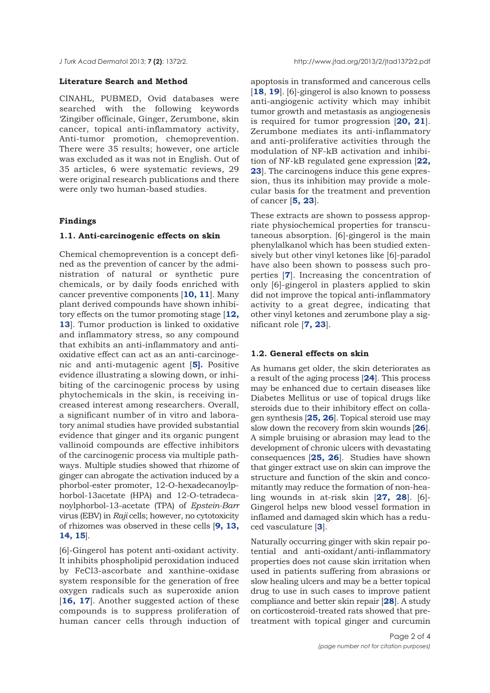## **Literature Search and Method**

CINAHL, PUBMED, Ovid databases were searched with the following keywords 'Zingiber officinale, Ginger, Zerumbone, skin cancer, topical anti-inflammatory activity, Anti-tumor promotion, chemoprevention. There were 35 results; however, one article was excluded as it was not in English. Out of 35 articles, 6 were systematic reviews, 29 were original research publications and there were only two human-based studies.

### **Findings**

#### **1.1. Anti-carcinogenic effects on skin**

Chemical chemoprevention is a concept defined as the prevention of cancer by the administration of natural or synthetic pure chemicals, or by daily foods enriched with cancer preventive components [**10, 11**]. Many plant derived compounds have shown inhibitory effects on the tumor promoting stage [**12, 13**]. Tumor production is linked to oxidative and inflammatory stress, so any compound that exhibits an anti-inflammatory and antioxidative effect can act as an anti-carcinogenic and anti-mutagenic agent [**5].** Positive evidence illustrating a slowing down, or inhibiting of the carcinogenic process by using phytochemicals in the skin, is receiving increased interest among researchers. Overall, a significant number of in vitro and laboratory animal studies have provided substantial evidence that ginger and its organic pungent vallinoid compounds are effective inhibitors of the carcinogenic process via multiple pathways. Multiple studies showed that rhizome of ginger can abrogate the activation induced by a phorbol-ester promoter, 12-O-hexadecanoylphorbol-13acetate (HPA) and 12-O-tetradecanoylphorbol-13-acetate (TPA) of *Epstein-Barr* virus (EBV) in *Raji* cells; however, no cytotoxicity of rhizomes was observed in these cells [**9, 13, 14, 15**].

[6]-Gingerol has potent anti-oxidant activity. It inhibits phospholipid peroxidation induced by FeCl3-ascorbate and xanthine-oxidase system responsible for the generation of free oxygen radicals such as superoxide anion [16, 17]. Another suggested action of these compounds is to suppress proliferation of human cancer cells through induction of

apoptosis in transformed and cancerous cells [**18**, **19**]. [6]-gingerol is also known to possess anti-angiogenic activity which may inhibit tumor growth and metastasis as angiogenesis is required for tumor progression [**20, 21**]. Zerumbone mediates its anti-inflammatory and anti-proliferative activities through the modulation of NF-kB activation and inhibition of NF-kB regulated gene expression [**22, 23**]. The carcinogens induce this gene expression, thus its inhibition may provide a molecular basis for the treatment and prevention of cancer [**5, 23**].

These extracts are shown to possess appropriate physiochemical properties for transcutaneous absorption. [6]-gingerol is the main phenylalkanol which has been studied extensively but other vinyl ketones like [6]-paradol have also been shown to possess such properties [**7**]. Increasing the concentration of only [6]-gingerol in plasters applied to skin did not improve the topical anti-inflammatory activity to a great degree, indicating that other vinyl ketones and zerumbone play a significant role [**7, 23**].

#### **1.2. General effects on skin**

As humans get older, the skin deteriorates as a result of the aging process [**24**]. This process may be enhanced due to certain diseases like Diabetes Mellitus or use of topical drugs like steroids due to their inhibitory effect on collagen synthesis [**25, 26**]. Topical steroid use may slow down the recovery from skin wounds [**26**]. A simple bruising or abrasion may lead to the development of chronic ulcers with devastating consequences [**25, 26**]. Studies have shown that ginger extract use on skin can improve the structure and function of the skin and concomitantly may reduce the formation of non-healing wounds in at-risk skin [**27, 28**]. [6]- Gingerol helps new blood vessel formation in inflamed and damaged skin which has a reduced vasculature [**3**].

Naturally occurring ginger with skin repair potential and anti-oxidant/anti-inflammatory properties does not cause skin irritation when used in patients suffering from abrasions or slow healing ulcers and may be a better topical drug to use in such cases to improve patient compliance and better skin repair [**28**]. A study on corticosteroid-treated rats showed that pretreatment with topical ginger and curcumin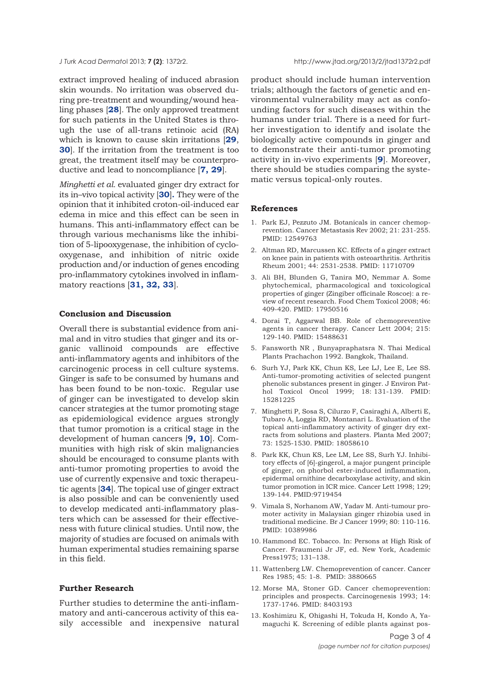extract improved healing of induced abrasion skin wounds. No irritation was observed during pre-treatment and wounding/wound healing phases [**28**]. The only approved treatment for such patients in the United States is through the use of all-trans retinoic acid (RA) which is known to cause skin irritations [**29**, **30**]. If the irritation from the treatment is too great, the treatment itself may be counterproductive and lead to noncompliance [**7, 29**].

*Minghetti et al.* evaluated ginger dry extract for its in–vivo topical activity [**30**]**.** They were of the opinion that it inhibited croton-oil-induced ear edema in mice and this effect can be seen in humans. This anti-inflammatory effect can be through various mechanisms like the inhibition of 5-lipooxygenase, the inhibition of cyclooxygenase, and inhibition of nitric oxide production and/or induction of genes encoding pro-inflammatory cytokines involved in inflammatory reactions [**31, 32, 33**].

#### **Conclusion and Discussion**

Overall there is substantial evidence from animal and in vitro studies that ginger and its organic vallinoid compounds are effective anti-inflammatory agents and inhibitors of the carcinogenic process in cell culture systems. Ginger is safe to be consumed by humans and has been found to be non-toxic. Regular use of ginger can be investigated to develop skin cancer strategies at the tumor promoting stage as epidemiological evidence argues strongly that tumor promotion is a critical stage in the development of human cancers [**9, 10**]. Communities with high risk of skin malignancies should be encouraged to consume plants with anti-tumor promoting properties to avoid the use of currently expensive and toxic therapeutic agents [**34**]. The topical use of ginger extract is also possible and can be conveniently used to develop medicated anti-inflammatory plasters which can be assessed for their effectiveness with future clinical studies. Until now, the majority of studies are focused on animals with human experimental studies remaining sparse in this field.

# **Further Research**

Further studies to determine the anti-inflammatory and anti-cancerous activity of this easily accessible and inexpensive natural product should include human intervention trials; although the factors of genetic and environmental vulnerability may act as confounding factors for such diseases within the humans under trial. There is a need for further investigation to identify and isolate the biologically active compounds in ginger and to demonstrate their anti-tumor promoting activity in in-vivo experiments [**9**]. Moreover, there should be studies comparing the systematic versus topical-only routes.

#### **References**

- 1. Park EJ, Pezzuto JM. Botanicals in cancer chemoprevention. Cancer Metastasis Rev 2002; 21: 231-255. PMID: 12549763
- 2. Altman RD, Marcussen KC. Effects of a ginger extract on knee pain in patients with osteoarthritis. Arthritis Rheum 2001; 44: 2531-2538. PMID: 11710709
- 3. Ali BH, Blunden G, Tanira MO, Nemmar A. Some phytochemical, pharmacological and toxicological properties of ginger (Zingiber officinale Roscoe): a review of recent research. Food Chem Toxicol 2008; 46: 409-420. PMID: 17950516
- 4. Dorai T, Aggarwal BB. Role of chemopreventive agents in cancer therapy. Cancer Lett 2004; 215: 129-140. PMID: 15488631
- 5. Fansworth NR , Bunyapraphatsra N. Thai Medical Plants Prachachon 1992. Bangkok, Thailand.
- 6. Surh YJ, Park KK, Chun KS, Lee LJ, Lee E, Lee SS. Anti-tumor-promoting activities of selected pungent phenolic substances present in ginger. J Environ Pathol Toxicol Oncol 1999; 18: 131-139. PMID: 15281225
- 7. Minghetti P, Sosa S, Cilurzo F, Casiraghi A, Alberti E, Tubaro A, Loggia RD, Montanari L. Evaluation of the topical anti-inflammatory activity of ginger dry extracts from solutions and plasters. Planta Med 2007; 73: 1525-1530. PMID: 18058610
- 8. Park KK, Chun KS, Lee LM, Lee SS, Surh YJ. Inhibitory effects of [6]-gingerol, a major pungent principle of ginger, on phorbol ester-induced inflammation, epidermal ornithine decarboxylase activity, and skin tumor promotion in ICR mice. Cancer Lett 1998; 129; 139-144. PMID:9719454
- 9. Vimala S, Norhanom AW, Yadav M. Anti-tumour promoter activity in Malaysian ginger rhizobia used in traditional medicine. Br J Cancer 1999; 80: 110-116. PMID: 10389986
- 10. Hammond EC. Tobacco. In: Persons at High Risk of Cancer. Fraumeni Jr JF, ed. New York, Academic Press1975; 131–138.
- 11. Wattenberg LW. Chemoprevention of cancer. Cancer Res 1985; 45: 1-8. PMID: 3880665
- 12. Morse MA, Stoner GD. Cancer chemoprevention: principles and prospects. Carcinogenesis 1993; 14: 1737-1746. PMID: 8403193
- 13. Koshimizu K, Ohigashi H, Tokuda H, Kondo A, Yamaguchi K. Screening of edible plants against pos-